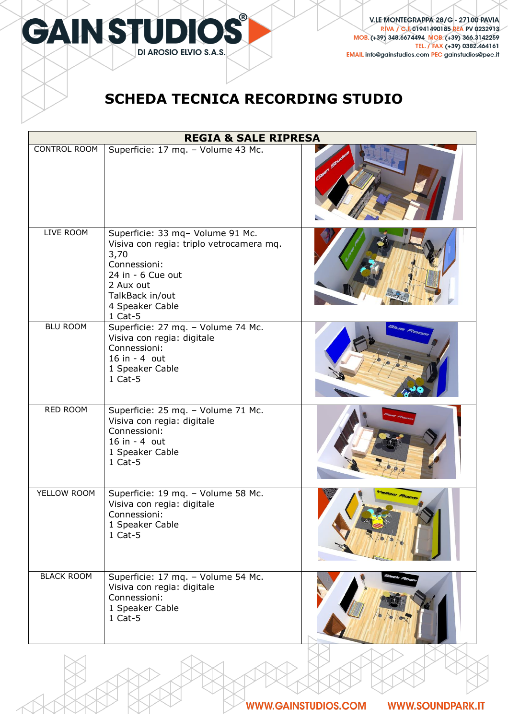

## **SCHEDA TECNICA RECORDING STUDIO**

| <b>REGIA &amp; SALE RIPRESA</b> |                                                                                                                                                                                         |  |
|---------------------------------|-----------------------------------------------------------------------------------------------------------------------------------------------------------------------------------------|--|
| <b>CONTROL ROOM</b>             | Superficie: 17 mq. - Volume 43 Mc.                                                                                                                                                      |  |
| LIVE ROOM                       | Superficie: 33 mq- Volume 91 Mc.<br>Visiva con regia: triplo vetrocamera mq.<br>3,70<br>Connessioni:<br>24 in - 6 Cue out<br>2 Aux out<br>TalkBack in/out<br>4 Speaker Cable<br>1 Cat-5 |  |
| <b>BLU ROOM</b>                 | Superficie: 27 mq. - Volume 74 Mc.<br>Visiva con regia: digitale<br>Connessioni:<br>16 in - 4 out<br>1 Speaker Cable<br>$1$ Cat-5                                                       |  |
| RED ROOM                        | Superficie: 25 mq. - Volume 71 Mc.<br>Visiva con regia: digitale<br>Connessioni:<br>16 in - 4 out<br>1 Speaker Cable<br>$1$ Cat-5                                                       |  |
| YELLOW ROOM                     | Superficie: 19 mq. - Volume 58 Mc.<br>Visiva con regia: digitale<br>Connessioni:<br>1 Speaker Cable<br>$1$ Cat-5                                                                        |  |
| <b>BLACK ROOM</b>               | Superficie: 17 mq. - Volume 54 Mc.<br>Visiva con regia: digitale<br>Connessioni:<br>1 Speaker Cable<br>$1$ Cat-5                                                                        |  |

**WWW.SOUNDPARK.IT**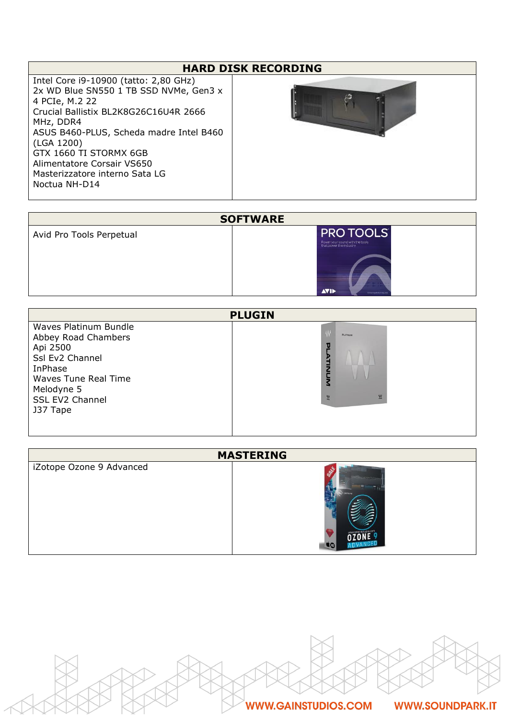## **HARD DISK RECORDING**

Intel Core i9-10900 (tatto: 2,80 GHz) 2x WD Blue SN550 1 TB SSD NVMe, Gen3 x 4 PCIe, M.2 22 Crucial Ballistix BL2K8G26C16U4R 2666 MHz, DDR4 ASUS B460-PLUS, Scheda madre Intel B460 (LGA 1200) GTX 1660 TI STORMX 6GB Alimentatore Corsair VS650 Masterizzatore interno Sata LG Noctua NH-D14



| <b>SOFTWARE</b>          |                                                                                                                              |
|--------------------------|------------------------------------------------------------------------------------------------------------------------------|
| Avid Pro Tools Perpetual | <b>PRO TOOLS</b><br>Power your sound with the tools<br>that power the industry<br><b>AVIE</b><br>Online majorization require |

| <b>PLUGIN</b>                                                                                                                                                      |                                                 |
|--------------------------------------------------------------------------------------------------------------------------------------------------------------------|-------------------------------------------------|
| Waves Platinum Bundle<br>Abbey Road Chambers<br>Api 2500<br>Ssl Ev2 Channel<br>InPhase<br><b>Waves Tune Real Time</b><br>Melodyne 5<br>SSL EV2 Channel<br>J37 Tape | ₩<br><b>PLATINUM</b><br>ॻ<br>タコラ<br>ξ<br>鳖<br>싼 |

| <b>MASTERING</b>         |              |
|--------------------------|--------------|
| iZotope Ozone 9 Advanced | <b>COTOR</b> |

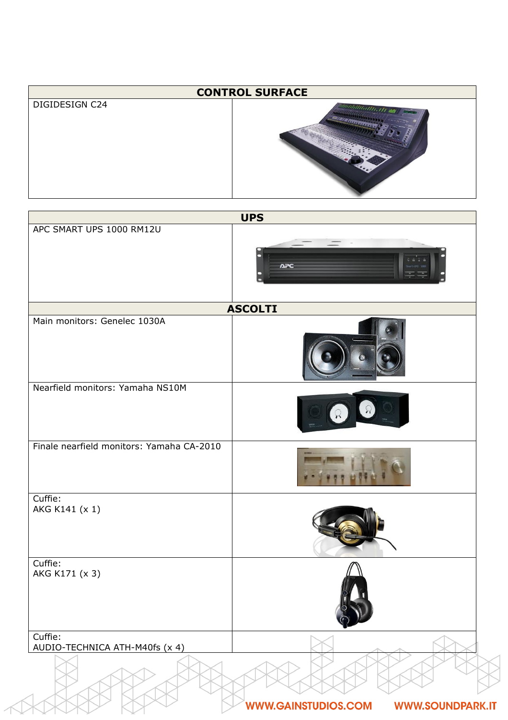| <b>CONTROL SURFACE</b> |                                   |
|------------------------|-----------------------------------|
| DIGIDESIGN C24         | <i><u>Minimillionis de l'</u></i> |

|                                           | <b>UPS</b>                                            |
|-------------------------------------------|-------------------------------------------------------|
| APC SMART UPS 1000 RM12U                  | <b>APC</b>                                            |
|                                           | <b>ASCOLTI</b>                                        |
| Main monitors: Genelec 1030A              |                                                       |
| Nearfield monitors: Yamaha NS10M          |                                                       |
| Finale nearfield monitors: Yamaha CA-2010 |                                                       |
| Cuffie:<br>AKG K141 (x 1)                 |                                                       |
| Cuffie:<br>AKG K171 (x 3)                 |                                                       |
| Cuffie:<br>AUDIO-TECHNICA ATH-M40fs (x 4) |                                                       |
|                                           | <b>WWW.GAINSTUDIOS.COM</b><br><b>WWW.SOUNDPARK.IT</b> |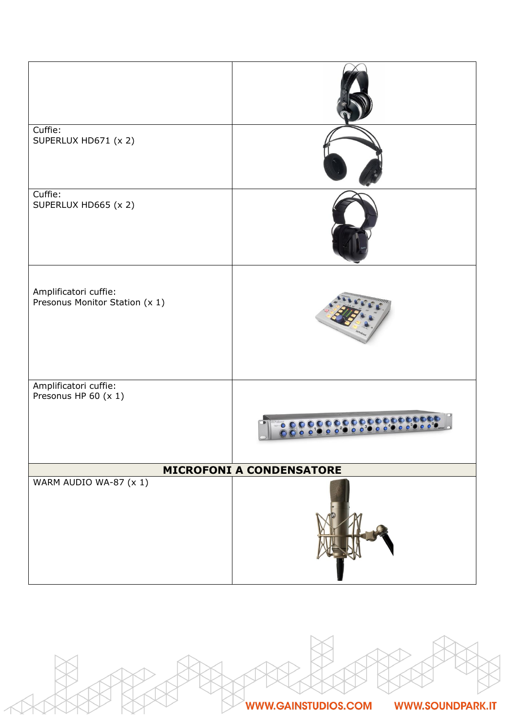| Cuffie:<br>SUPERLUX HD671 (x 2)                         |  |
|---------------------------------------------------------|--|
| Cuffie:<br>SUPERLUX HD665 (x 2)                         |  |
| Amplificatori cuffie:<br>Presonus Monitor Station (x 1) |  |
| Amplificatori cuffie:<br>Presonus HP 60 (x 1)           |  |
|                                                         |  |
| <b>MICROFONI A CONDENSATORE</b>                         |  |
| WARM AUDIO WA-87 (x 1)                                  |  |



**WWW.SOUNDPARK.IT**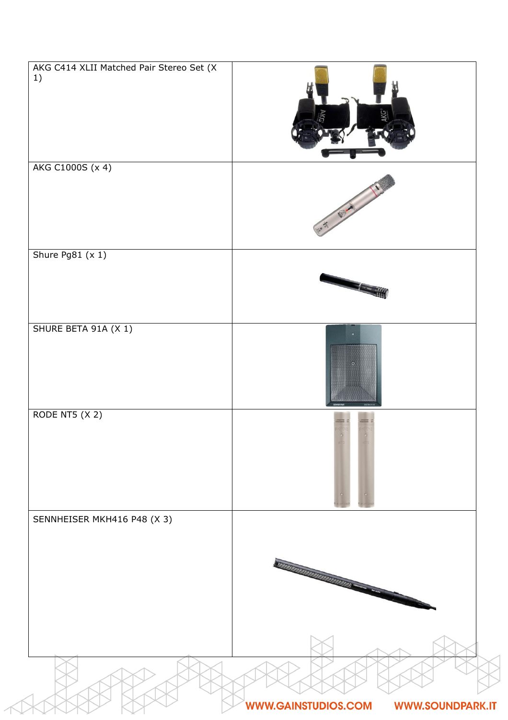| AKG C414 XLII Matched Pair Stereo Set (X<br>1) |                                                       |
|------------------------------------------------|-------------------------------------------------------|
| AKG C1000S (x 4)                               |                                                       |
| Shure Pg81 (x 1)                               |                                                       |
| SHURE BETA 91A (X 1)                           |                                                       |
| RODE NT5 (X 2)                                 |                                                       |
| SENNHEISER MKH416 P48 (X 3)                    | <b>TITULI IN TITULI IN TITULI IN</b>                  |
|                                                | <b>WWW.GAINSTUDIOS.COM</b><br><b>WWW.SOUNDPARK.IT</b> |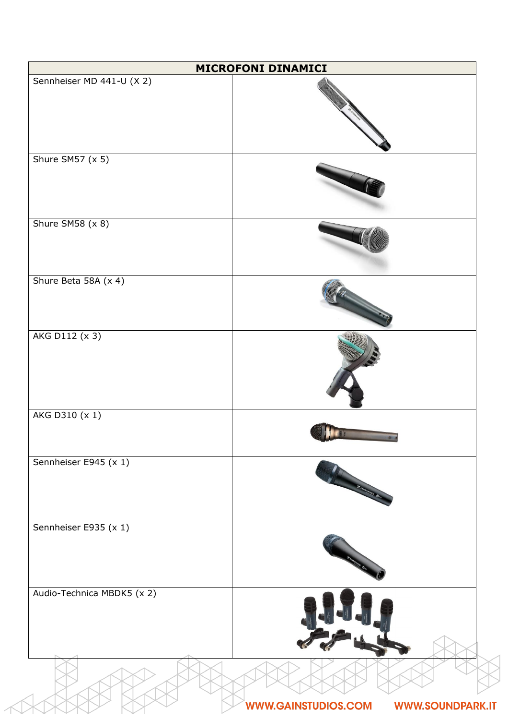|                            | MICROFONI DINAMICI                                    |
|----------------------------|-------------------------------------------------------|
| Sennheiser MD 441-U (X 2)  |                                                       |
| Shure SM57 (x 5)           |                                                       |
| Shure SM58 (x 8)           |                                                       |
| Shure Beta 58A (x 4)       |                                                       |
| AKG D112 (x 3)             |                                                       |
| AKG D310 (x 1)             |                                                       |
| Sennheiser E945 (x 1)      | <b>Summary Co.</b>                                    |
| Sennheiser E935 (x 1)      |                                                       |
| Audio-Technica MBDK5 (x 2) |                                                       |
|                            | <b>WWW.GAINSTUDIOS.COM</b><br><b>WWW.SOUNDPARK.IT</b> |